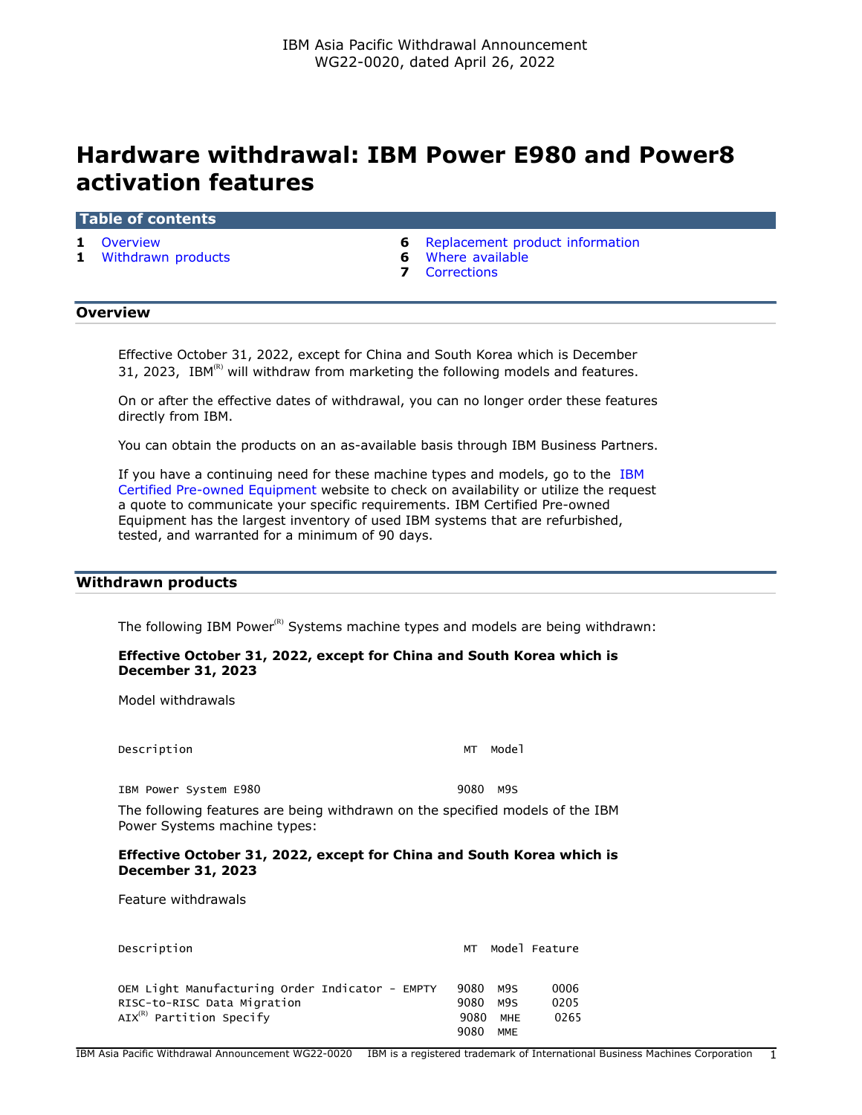# **Hardware withdrawal: IBM Power E980 and Power8 activation features**

#### **Table of contents**

- 
- **1** [Withdrawn products](#page-0-1) **6** [Where available](#page-5-1)
- **1** [Overview](#page-0-0) **6** [Replacement product information](#page-5-0)
	-
	- **7** [Corrections](#page-6-0)

# <span id="page-0-0"></span>**Overview**

Effective October 31, 2022, except for China and South Korea which is December 31, 2023, IBM $<sup>(R)</sup>$  will withdraw from marketing the following models and features.</sup>

On or after the effective dates of withdrawal, you can no longer order these features directly from IBM.

You can obtain the products on an as-available basis through IBM Business Partners.

If you have a continuing need for these machine types and models, go to the [IBM](https://www.ibm.com/financing/pre-owned/ibm-certified-used-equipment) [Certified Pre-owned Equipment](https://www.ibm.com/financing/pre-owned/ibm-certified-used-equipment) website to check on availability or utilize the request a quote to communicate your specific requirements. IBM Certified Pre-owned Equipment has the largest inventory of used IBM systems that are refurbished, tested, and warranted for a minimum of 90 days.

# <span id="page-0-1"></span>**Withdrawn products**

The following IBM Power $<sup>(R)</sup>$  Systems machine types and models are being withdrawn:</sup>

# **Effective October 31, 2022, except for China and South Korea which is December 31, 2023**

Model withdrawals

Description MT Model

IBM Power System E980 9080 M9S

The following features are being withdrawn on the specified models of the IBM Power Systems machine types:

#### **Effective October 31, 2022, except for China and South Korea which is December 31, 2023**

Feature withdrawals

| Description                                                                                                     | МT                   |                   | Model Feature        |
|-----------------------------------------------------------------------------------------------------------------|----------------------|-------------------|----------------------|
| OEM Light Manufacturing Order Indicator - EMPTY<br>RISC-to-RISC Data Migration<br>$AIX^{(R)}$ Partition Specify | 9080<br>9080<br>9080 | M9S<br>M9S<br>MHE | 0006<br>0205<br>0265 |
|                                                                                                                 | 9080                 | <b>MME</b>        |                      |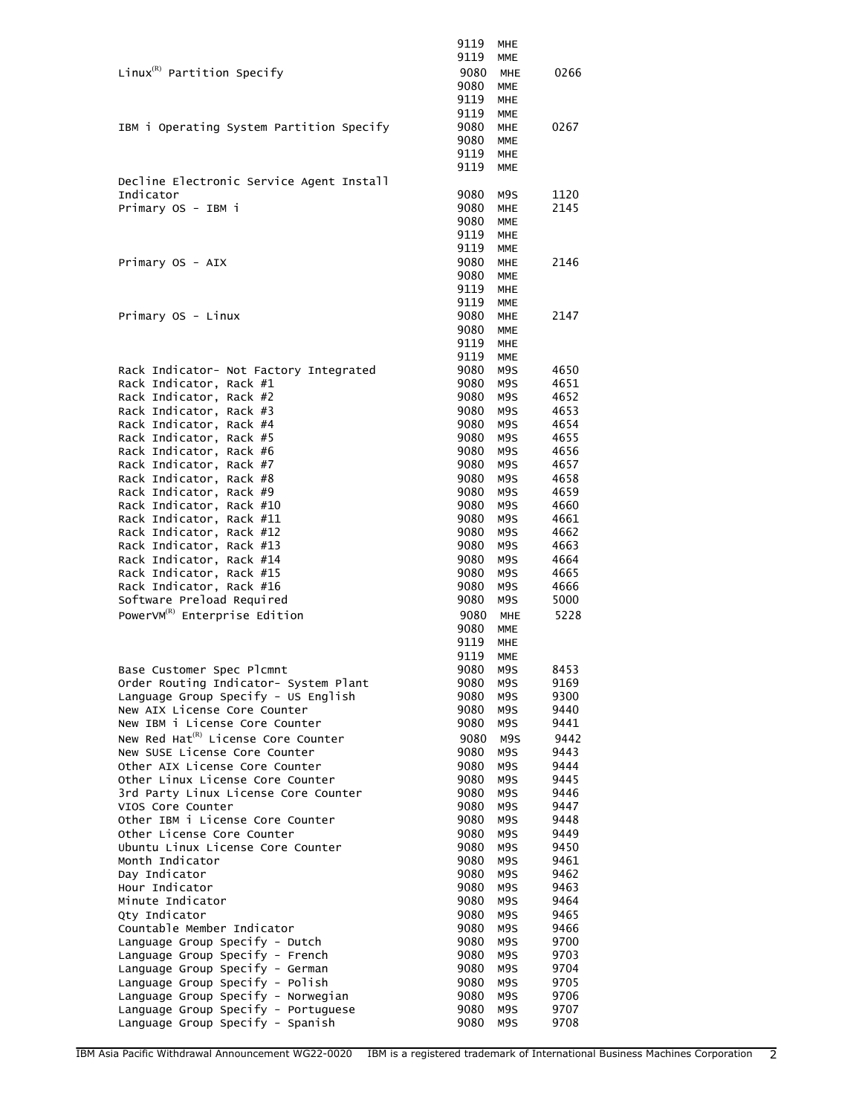|                                                                    | 9119         | MHE                      |              |
|--------------------------------------------------------------------|--------------|--------------------------|--------------|
|                                                                    | 9119         | <b>MME</b>               |              |
| Linux ${}^{\textrm{\tiny(R)}}$ Partition Specify                   | 9080         | <b>MHE</b>               | 0266         |
|                                                                    | 9080         | <b>MME</b>               |              |
|                                                                    | 9119         | <b>MHE</b>               |              |
|                                                                    | 9119         | <b>MME</b>               |              |
| IBM i Operating System Partition Specify                           | 9080         | <b>MHE</b>               | 0267         |
|                                                                    | 9080         | <b>MME</b>               |              |
|                                                                    | 9119         | <b>MHE</b>               |              |
|                                                                    | 9119         | <b>MME</b>               |              |
| Decline Electronic Service Agent Install                           |              |                          |              |
| Indicator                                                          | 9080<br>9080 | M9S                      | 1120<br>2145 |
| Primary OS - IBM i                                                 | 9080         | <b>MHE</b><br><b>MME</b> |              |
|                                                                    | 9119         | <b>MHE</b>               |              |
|                                                                    | 9119         | <b>MME</b>               |              |
| Primary OS - AIX                                                   | 9080         | <b>MHE</b>               | 2146         |
|                                                                    | 9080         | <b>MME</b>               |              |
|                                                                    | 9119         | MHE                      |              |
|                                                                    | 9119         | <b>MME</b>               |              |
| Primary OS - Linux                                                 | 9080         | <b>MHE</b>               | 2147         |
|                                                                    | 9080         | <b>MME</b>               |              |
|                                                                    | 9119         | <b>MHE</b>               |              |
|                                                                    | 9119         | <b>MME</b>               |              |
| Rack Indicator- Not Factory Integrated                             | 9080         | M9S                      | 4650         |
| Rack Indicator, Rack #1                                            | 9080         | M9S                      | 4651         |
| Rack Indicator, Rack #2                                            | 9080         | M9S                      | 4652         |
| Rack Indicator, Rack #3                                            | 9080         | M9S                      | 4653         |
| Rack Indicator, Rack #4                                            | 9080         | M9S                      | 4654         |
| Rack Indicator, Rack #5<br>Rack Indicator, Rack #6                 | 9080<br>9080 | M9S<br>M9S               | 4655<br>4656 |
| Rack Indicator, Rack #7                                            | 9080         | M9S                      | 4657         |
| Rack Indicator, Rack #8                                            | 9080         | M9S                      | 4658         |
| Rack Indicator, Rack #9                                            | 9080         | M9S                      | 4659         |
| Rack Indicator, Rack #10                                           | 9080         | M9S                      | 4660         |
| Rack Indicator, Rack #11                                           | 9080         | M9S                      | 4661         |
| Rack Indicator, Rack #12                                           | 9080         | M9S                      | 4662         |
| Rack Indicator, Rack #13                                           | 9080         | M9S                      | 4663         |
| Rack Indicator, Rack #14                                           | 9080         | M9S                      | 4664         |
| Rack Indicator, Rack #15                                           | 9080         | M9S                      | 4665         |
| Rack Indicator, Rack #16                                           | 9080         | M9S                      | 4666         |
| Software Preload Required                                          | 9080         | M9S                      | 5000         |
| PowerVM <sup>(R)</sup> Enterprise Edition                          | 9080         | <b>MHE</b>               | 5228         |
|                                                                    | 9080         | <b>MME</b>               |              |
|                                                                    | 9119         | <b>MHE</b>               |              |
|                                                                    | 9119         | <b>MME</b>               |              |
| Base Customer Spec Plcmnt<br>Order Routing Indicator- System Plant | 9080<br>9080 | M9S<br>M9S               | 8453<br>9169 |
| Language Group Specify - US English                                | 9080         | M9S                      | 9300         |
| New AIX License Core Counter                                       | 9080         | M9S                      | 9440         |
| New IBM i License Core Counter                                     | 9080         | M9S                      | 9441         |
| New Red Hat <sup>(R)</sup> License Core Counter                    | 9080         | M9S                      | 9442         |
| New SUSE License Core Counter                                      | 9080         | M9S                      | 9443         |
| Other AIX License Core Counter                                     | 9080         | M9S                      | 9444         |
| Other Linux License Core Counter                                   | 9080         | M9S                      | 9445         |
| 3rd Party Linux License Core Counter                               | 9080         | M9S                      | 9446         |
| VIOS Core Counter                                                  | 9080         | M9S                      | 9447         |
| Other IBM i License Core Counter                                   | 9080         | M9S                      | 9448         |
| Other License Core Counter                                         | 9080         | M9S                      | 9449         |
| Ubuntu Linux License Core Counter                                  | 9080         | M9S                      | 9450         |
| Month Indicator                                                    | 9080         | M9S                      | 9461         |
| Day Indicator<br>Hour Indicator                                    | 9080<br>9080 | M9S                      | 9462         |
| Minute Indicator                                                   | 9080         | M9S<br>M9S               | 9463<br>9464 |
| Qty Indicator                                                      | 9080         | M9S                      | 9465         |
| Countable Member Indicator                                         | 9080         | M9S                      | 9466         |
| Language Group Specify - Dutch                                     | 9080         | M9S                      | 9700         |
| Language Group Specify - French                                    | 9080         | M9S                      | 9703         |
| Language Group Specify - German                                    | 9080         | M9S                      | 9704         |
| Language Group Specify - Polish                                    | 9080         | M9S                      | 9705         |
| Language Group Specify - Norwegian                                 | 9080         | M9S                      | 9706         |
| Language Group Specify - Portuguese                                | 9080         | M9S                      | 9707         |
| Language Group Specify - Spanish                                   | 9080         | M9S                      | 9708         |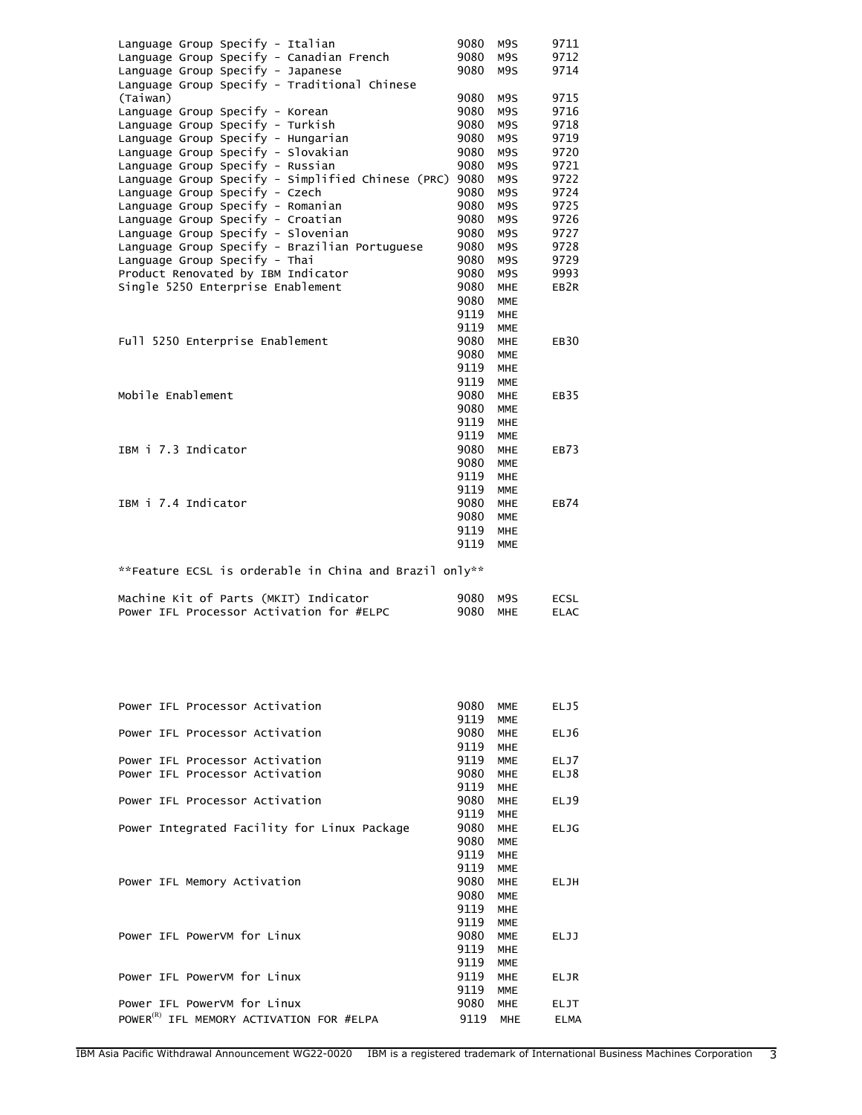| Language Group Specify - Italian<br>Language Group Specify - Canadian French<br>Language Group Specify - Japanese<br>Language Group Specify - Traditional Chinese                                                                                                                                           | 9080<br>9080<br>9080                                         | M9S<br>M9S<br>M9S                                                                              | 9711<br>9712<br>9714                                                     |
|-------------------------------------------------------------------------------------------------------------------------------------------------------------------------------------------------------------------------------------------------------------------------------------------------------------|--------------------------------------------------------------|------------------------------------------------------------------------------------------------|--------------------------------------------------------------------------|
| (Taiwan)<br>Language Group Specify - Korean<br>Language Group Specify - Turkish<br>Language Group Specify - Hungarian<br>Language Group Specify - Slovakian<br>Language Group Specify - Russian<br>Language Group Specify - Simplified Chinese (PRC) 9080                                                   | 9080<br>9080<br>9080<br>9080<br>9080<br>9080                 | M9S<br>M9S<br>M9S<br>M9S<br>M9S<br>M9S<br>M9S                                                  | 9715<br>9716<br>9718<br>9719<br>9720<br>9721<br>9722                     |
| Language Group Specify - Czech<br>Language Group Specify - Romanian<br>Language Group Specify - Croatian<br>Language Group Specify - Slovenian<br>Language Group Specify - Brazilian Portuguese<br>Language Group Specify - Thai<br>Product Renovated by IBM Indicator<br>Single 5250 Enterprise Enablement | 9080<br>9080<br>9080<br>9080<br>9080<br>9080<br>9080<br>9080 | M9S<br>M9S<br>M9S<br>M9S<br>M9S<br>M9S<br>M9S<br><b>MHE</b>                                    | 9724<br>9725<br>9726<br>9727<br>9728<br>9729<br>9993<br>EB <sub>2R</sub> |
| Full 5250 Enterprise Enablement                                                                                                                                                                                                                                                                             | 9080<br>9119<br>9119<br>9080<br>9080<br>9119<br>9119         | <b>MME</b><br><b>MHE</b><br><b>MME</b><br><b>MHE</b><br><b>MME</b><br><b>MHE</b><br><b>MME</b> | <b>EB30</b>                                                              |
| Mobile Enablement                                                                                                                                                                                                                                                                                           | 9080<br>9080<br>9119<br>9119                                 | <b>MHE</b><br><b>MME</b><br><b>MHE</b><br><b>MME</b>                                           | EB35                                                                     |
| IBM i 7.3 Indicator                                                                                                                                                                                                                                                                                         | 9080<br>9080<br>9119<br>9119                                 | <b>MHE</b><br><b>MME</b><br><b>MHE</b><br><b>MME</b>                                           | EB73                                                                     |
| IBM i 7.4 Indicator                                                                                                                                                                                                                                                                                         | 9080<br>9080<br>9119<br>9119                                 | <b>MHE</b><br><b>MME</b><br><b>MHE</b><br><b>MME</b>                                           | <b>EB74</b>                                                              |
| **Feature ECSL is orderable in China and Brazil only**                                                                                                                                                                                                                                                      |                                                              |                                                                                                |                                                                          |
| $M = -b \cdot a = b \cdot b + c$ $A = -c$                                                                                                                                                                                                                                                                   | $0000 - 000$                                                 |                                                                                                | $F^{\sim}$                                                               |

| Machine Kit of Parts (MKIT) Indicator    | 9080 M9S | ECSL |
|------------------------------------------|----------|------|
| Power IFL Processor Activation for #ELPC | 9080 MHE | ELAC |

| Power IFL Processor Activation                       | 9080 | <b>MME</b> | ELJ5        |
|------------------------------------------------------|------|------------|-------------|
|                                                      | 9119 | <b>MME</b> |             |
| Power IFL Processor Activation                       | 9080 | <b>MHE</b> | ELJ6        |
|                                                      | 9119 | <b>MHE</b> |             |
| Power IFL Processor Activation                       | 9119 | <b>MME</b> | ELJ7        |
| Power IFL Processor Activation                       | 9080 | <b>MHE</b> | ELJ8        |
|                                                      | 9119 | <b>MHE</b> |             |
| Power IFL Processor Activation                       | 9080 | <b>MHE</b> | ELJ9        |
|                                                      | 9119 | <b>MHE</b> |             |
| Power Integrated Facility for Linux Package          | 9080 | <b>MHE</b> | <b>ELJG</b> |
|                                                      | 9080 | <b>MME</b> |             |
|                                                      | 9119 | <b>MHE</b> |             |
|                                                      | 9119 | <b>MME</b> |             |
| Power IFL Memory Activation                          | 9080 | <b>MHE</b> | <b>ELJH</b> |
|                                                      | 9080 | <b>MME</b> |             |
|                                                      | 9119 | <b>MHE</b> |             |
|                                                      | 9119 | <b>MME</b> |             |
| Power IFL PowerVM for Linux                          | 9080 | <b>MME</b> | <b>ELJJ</b> |
|                                                      | 9119 | <b>MHE</b> |             |
|                                                      | 9119 | <b>MME</b> |             |
| Power IFL PowerVM for Linux                          | 9119 | <b>MHE</b> | ELJR        |
|                                                      | 9119 | <b>MME</b> |             |
| Power IFL PowerVM for Linux                          | 9080 | <b>MHE</b> | <b>ELJT</b> |
| POWER <sup>(R)</sup> IFL MEMORY ACTIVATION FOR #ELPA | 9119 | <b>MHE</b> | <b>ELMA</b> |
|                                                      |      |            |             |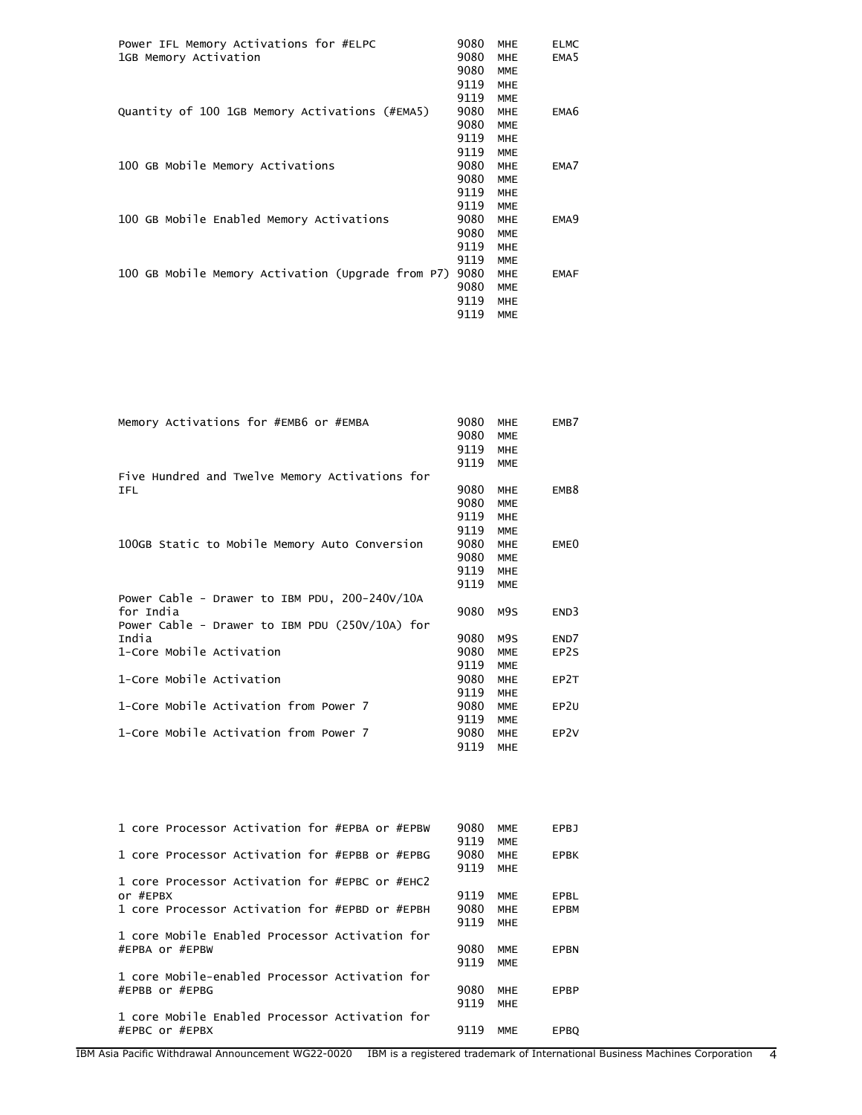| 1GB Memory Activation<br>9080<br>EMA <sub>5</sub><br><b>MHE</b><br>9080<br><b>MME</b><br>9119<br><b>MHE</b><br>9119<br><b>MME</b><br>Quantity of 100 1GB Memory Activations (#EMA5)<br>9080<br><b>MHE</b><br>EMA <sub>6</sub><br>9080<br><b>MME</b><br>9119<br><b>MHE</b><br>9119<br><b>MME</b> |
|-------------------------------------------------------------------------------------------------------------------------------------------------------------------------------------------------------------------------------------------------------------------------------------------------|
|                                                                                                                                                                                                                                                                                                 |
|                                                                                                                                                                                                                                                                                                 |
|                                                                                                                                                                                                                                                                                                 |
|                                                                                                                                                                                                                                                                                                 |
|                                                                                                                                                                                                                                                                                                 |
|                                                                                                                                                                                                                                                                                                 |
|                                                                                                                                                                                                                                                                                                 |
| 100 GB Mobile Memory Activations<br>9080<br><b>MHE</b><br>EMA7                                                                                                                                                                                                                                  |
| 9080<br><b>MME</b>                                                                                                                                                                                                                                                                              |
| 9119<br><b>MHE</b>                                                                                                                                                                                                                                                                              |
| 9119<br><b>MME</b>                                                                                                                                                                                                                                                                              |
| 100 GB Mobile Enabled Memory Activations<br>9080<br><b>MHE</b><br>EMA <sub>9</sub>                                                                                                                                                                                                              |
| 9080<br><b>MME</b>                                                                                                                                                                                                                                                                              |
| 9119<br><b>MHE</b>                                                                                                                                                                                                                                                                              |
| 9119<br><b>MME</b>                                                                                                                                                                                                                                                                              |
| 100 GB Mobile Memory Activation (Upgrade from P7)<br>9080<br><b>MHE</b><br><b>EMAF</b>                                                                                                                                                                                                          |
| 9080<br><b>MME</b>                                                                                                                                                                                                                                                                              |
| 9119<br><b>MHE</b>                                                                                                                                                                                                                                                                              |
| 9119<br><b>MME</b>                                                                                                                                                                                                                                                                              |

| Memory Activations for #EMB6 or #EMBA          | 9080 | <b>MHE</b> | EMB7             |
|------------------------------------------------|------|------------|------------------|
|                                                | 9080 | <b>MME</b> |                  |
|                                                | 9119 | <b>MHE</b> |                  |
|                                                | 9119 | <b>MME</b> |                  |
| Five Hundred and Twelve Memory Activations for |      |            |                  |
| IFL                                            | 9080 | <b>MHE</b> | EMB <sub>8</sub> |
|                                                | 9080 | <b>MME</b> |                  |
|                                                | 9119 | <b>MHE</b> |                  |
|                                                | 9119 | <b>MME</b> |                  |
| 100GB Static to Mobile Memory Auto Conversion  | 9080 | <b>MHE</b> | EME <sub>0</sub> |
|                                                | 9080 | <b>MME</b> |                  |
|                                                | 9119 | MHE        |                  |
|                                                | 9119 | <b>MME</b> |                  |
| Power Cable - Drawer to IBM PDU, 200-240V/10A  |      |            |                  |
| for India                                      | 9080 | M9S        | END3             |
| Power Cable - Drawer to IBM PDU (250V/10A) for |      |            |                  |
| India                                          | 9080 | M9S        | END7             |
| 1-Core Mobile Activation                       | 9080 | <b>MME</b> | EP2S             |
|                                                | 9119 | <b>MME</b> |                  |
| 1-Core Mobile Activation                       | 9080 | <b>MHE</b> | EP2T             |
|                                                | 9119 | <b>MHE</b> |                  |
| 1-Core Mobile Activation from Power 7          | 9080 | <b>MME</b> | EP2U             |
|                                                | 9119 | <b>MME</b> |                  |
| 1-Core Mobile Activation from Power 7          | 9080 | MHE        | EP <sub>2V</sub> |
|                                                | 9119 | MHE        |                  |

| 1 core Processor Activation for #EPBA or #EPBW | 9080 | <b>MME</b> | EPBJ        |
|------------------------------------------------|------|------------|-------------|
|                                                | 9119 | <b>MME</b> |             |
| 1 core Processor Activation for #EPBB or #EPBG | 9080 | <b>MHE</b> | <b>EPBK</b> |
|                                                | 9119 | <b>MHE</b> |             |
| 1 core Processor Activation for #EPBC or #EHC2 |      |            |             |
| or #EPBX                                       | 9119 | <b>MME</b> | EPBL        |
| 1 core Processor Activation for #EPBD or #EPBH | 9080 | <b>MHE</b> | <b>EPBM</b> |
|                                                | 9119 | <b>MHE</b> |             |
| 1 core Mobile Enabled Processor Activation for |      |            |             |
| #EPBA or #EPBW                                 | 9080 | <b>MME</b> | EPBN        |
|                                                | 9119 | <b>MME</b> |             |
| 1 core Mobile-enabled Processor Activation for |      |            |             |
| #EPBB or #EPBG                                 | 9080 | <b>MHE</b> | EPBP        |
|                                                | 9119 | <b>MHE</b> |             |
| 1 core Mobile Enabled Processor Activation for |      |            |             |
| #EPBC or #EPBX                                 | 9119 | MME        | <b>EPBO</b> |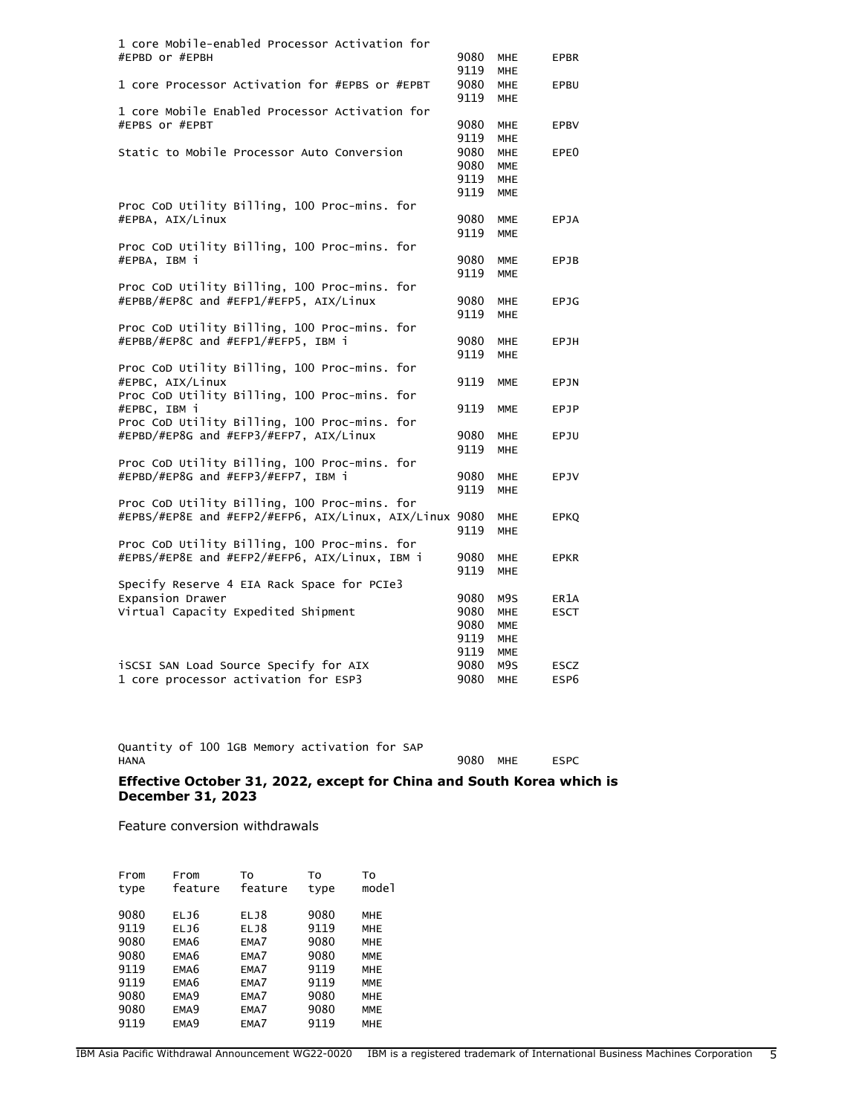| 1 core Mobile-enabled Processor Activation for         |      |            |                  |
|--------------------------------------------------------|------|------------|------------------|
| #EPBD or #EPBH                                         | 9080 | MHE        | <b>EPBR</b>      |
|                                                        | 9119 | <b>MHE</b> |                  |
| 1 core Processor Activation for #EPBS or #EPBT         | 9080 | <b>MHE</b> | EPBU             |
|                                                        | 9119 | <b>MHE</b> |                  |
| 1 core Mobile Enabled Processor Activation for         |      |            |                  |
| #EPBS or #EPBT                                         | 9080 |            |                  |
|                                                        |      | <b>MHE</b> | <b>EPBV</b>      |
|                                                        | 9119 | <b>MHE</b> |                  |
| Static to Mobile Processor Auto Conversion             | 9080 | <b>MHE</b> | EPE <sub>0</sub> |
|                                                        | 9080 | <b>MME</b> |                  |
|                                                        | 9119 | <b>MHE</b> |                  |
|                                                        | 9119 | <b>MME</b> |                  |
| Proc CoD Utility Billing, 100 Proc-mins. for           |      |            |                  |
| #EPBA, AIX/Linux                                       | 9080 | <b>MME</b> | <b>EPJA</b>      |
|                                                        | 9119 | <b>MME</b> |                  |
| Proc CoD Utility Billing, 100 Proc-mins. for           |      |            |                  |
| #EPBA, IBM i                                           | 9080 | <b>MME</b> | EPJB             |
|                                                        | 9119 | <b>MME</b> |                  |
|                                                        |      |            |                  |
| Proc CoD Utility Billing, 100 Proc-mins. for           |      |            |                  |
| #EPBB/#EP8C and #EFP1/#EFP5, AIX/Linux                 | 9080 | <b>MHE</b> | <b>EPJG</b>      |
|                                                        | 9119 | <b>MHE</b> |                  |
| Proc CoD Utility Billing, 100 Proc-mins. for           |      |            |                  |
| #EPBB/#EP8C and #EFP1/#EFP5, IBM i                     | 9080 | <b>MHE</b> | EPJH             |
|                                                        | 9119 | <b>MHE</b> |                  |
| Proc CoD Utility Billing, 100 Proc-mins. for           |      |            |                  |
| #EPBC, AIX/Linux                                       | 9119 | <b>MME</b> | EPJN             |
| Proc CoD Utility Billing, 100 Proc-mins. for           |      |            |                  |
| #EPBC, IBM i                                           | 9119 | <b>MME</b> | EPJP             |
| Proc CoD Utility Billing, 100 Proc-mins. for           |      |            |                  |
| #EPBD/#EP8G and #EFP3/#EFP7, AIX/Linux                 | 9080 | <b>MHE</b> | EPJU             |
|                                                        |      |            |                  |
|                                                        | 9119 | <b>MHE</b> |                  |
| Proc CoD Utility Billing, 100 Proc-mins. for           |      |            |                  |
| #EPBD/#EP8G and #EFP3/#EFP7, IBM i                     | 9080 | <b>MHE</b> | EPJV             |
|                                                        | 9119 | <b>MHE</b> |                  |
| Proc CoD Utility Billing, 100 Proc-mins. for           |      |            |                  |
| #EPBS/#EP8E and #EFP2/#EFP6, AIX/Linux, AIX/Linux 9080 |      | <b>MHE</b> | <b>EPKQ</b>      |
|                                                        | 9119 | <b>MHE</b> |                  |
| Proc CoD Utility Billing, 100 Proc-mins. for           |      |            |                  |
| #EPBS/#EP8E and #EFP2/#EFP6, AIX/Linux, IBM i          | 9080 | <b>MHE</b> | <b>EPKR</b>      |
|                                                        | 9119 | <b>MHE</b> |                  |
| Specify Reserve 4 EIA Rack Space for PCIe3             |      |            |                  |
|                                                        |      |            |                  |
| Expansion Drawer                                       | 9080 | M9S        | ER1A             |
| Virtual Capacity Expedited Shipment                    | 9080 | <b>MHE</b> | <b>ESCT</b>      |
|                                                        | 9080 | <b>MME</b> |                  |
|                                                        | 9119 | <b>MHE</b> |                  |
|                                                        | 9119 | <b>MME</b> |                  |
| iSCSI SAN Load Source Specify for AIX                  | 9080 | M9S        | ESCZ             |
| 1 core processor activation for ESP3                   | 9080 | <b>MHE</b> | ESP6             |
|                                                        |      |            |                  |

Quantity of 100 1GB Memory activation for SAP 9080 MHE ESPC

## **Effective October 31, 2022, except for China and South Korea which is December 31, 2023**

Feature conversion withdrawals

| From<br>type | From<br>feature  | To<br>feature | To<br>type | To<br>model |
|--------------|------------------|---------------|------------|-------------|
| 9080         | ELJ6             | ELJ8          | 9080       | MHE         |
| 9119         | ELJ6             | ELJ8          | 9119       | <b>MHE</b>  |
| 9080         | EMA <sub>6</sub> | EMA7          | 9080       | MHE         |
| 9080         | EMA <sub>6</sub> | EMA7          | 9080       | MME         |
| 9119         | EMA <sub>6</sub> | EMA7          | 9119       | MHE         |
| 9119         | EMA <sub>6</sub> | EMA7          | 9119       | MME         |
| 9080         | EMA <sub>9</sub> | EMA7          | 9080       | <b>MHE</b>  |
| 9080         | EMA <sub>9</sub> | EMA7          | 9080       | <b>MME</b>  |
| 9119         | EMA <sub>9</sub> | EMA7          | 9119       | MHE         |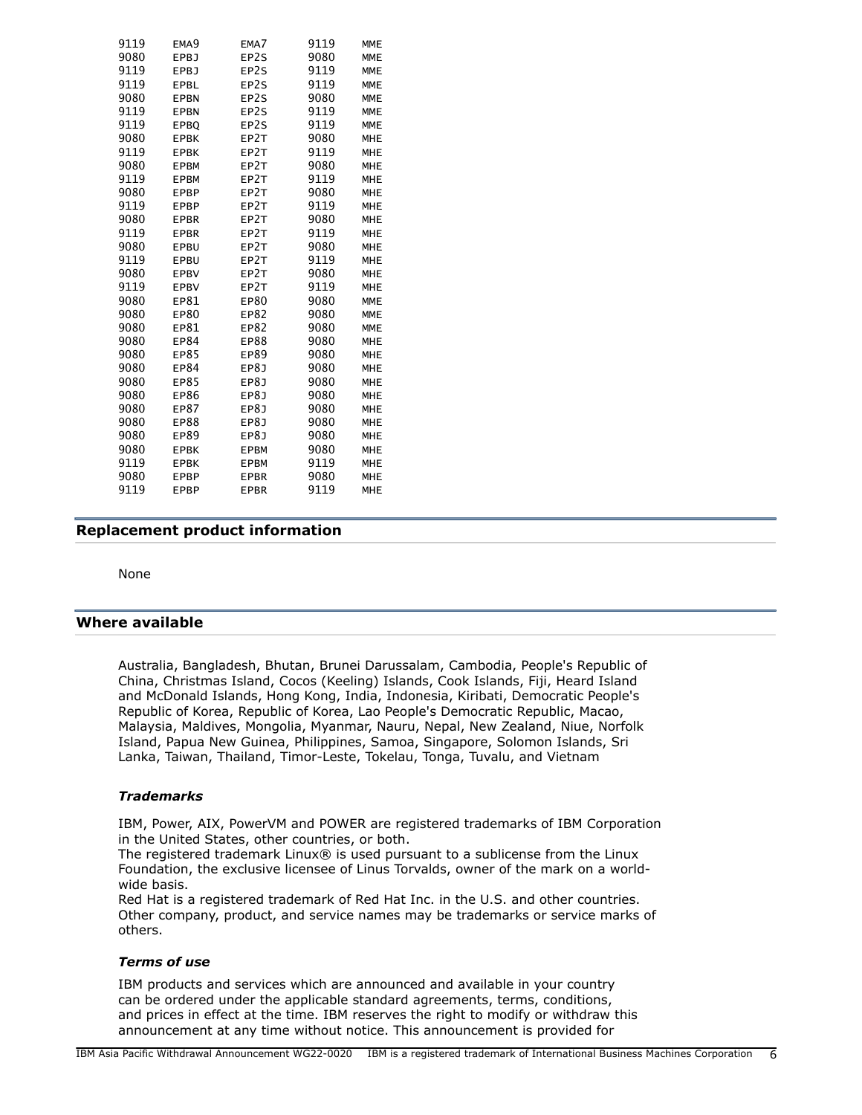| 9119 | EMA <sub>9</sub> | EMA7        | 9119 | <b>MME</b> |
|------|------------------|-------------|------|------------|
| 9080 | EPBJ             | EP2S        | 9080 | <b>MME</b> |
| 9119 | <b>EPBJ</b>      | EP2S        | 9119 | <b>MME</b> |
| 9119 | EPBL             | EP2S        | 9119 | <b>MME</b> |
| 9080 | <b>EPBN</b>      | EP2S        | 9080 | <b>MME</b> |
| 9119 | <b>EPBN</b>      | EP2S        | 9119 | <b>MME</b> |
| 9119 | EPBQ             | EP2S        | 9119 | <b>MME</b> |
| 9080 | <b>EPBK</b>      | EP2T        | 9080 | <b>MHE</b> |
| 9119 | <b>EPBK</b>      | EP2T        | 9119 | <b>MHE</b> |
| 9080 | <b>EPBM</b>      | EP2T        | 9080 | <b>MHE</b> |
| 9119 | <b>EPBM</b>      | EP2T        | 9119 | <b>MHE</b> |
| 9080 | <b>EPBP</b>      | EP2T        | 9080 | <b>MHE</b> |
| 9119 | <b>EPBP</b>      | EP2T        | 9119 | <b>MHE</b> |
| 9080 | <b>EPBR</b>      | EP2T        | 9080 | <b>MHE</b> |
| 9119 | <b>EPBR</b>      | EP2T        | 9119 | <b>MHE</b> |
| 9080 | EPBU             | EP2T        | 9080 | <b>MHE</b> |
| 9119 | EPBU             | EP2T        | 9119 | <b>MHE</b> |
| 9080 | <b>EPBV</b>      | EP2T        | 9080 | <b>MHE</b> |
| 9119 | <b>EPBV</b>      | EP2T        | 9119 | <b>MHE</b> |
| 9080 | EP81             | EP80        | 9080 | <b>MME</b> |
| 9080 | EP80             | EP82        | 9080 | <b>MME</b> |
| 9080 | EP81             | EP82        | 9080 | <b>MME</b> |
| 9080 | EP84             | EP88        | 9080 | <b>MHE</b> |
| 9080 | EP85             | EP89        | 9080 | <b>MHE</b> |
| 9080 | EP84             | EP8J        | 9080 | <b>MHE</b> |
| 9080 | EP85             | EP8J        | 9080 | <b>MHE</b> |
| 9080 | EP86             | EP8J        | 9080 | <b>MHE</b> |
| 9080 | EP87             | EP8J        | 9080 | <b>MHE</b> |
| 9080 | EP88             | EP8J        | 9080 | <b>MHE</b> |
| 9080 | EP89             | EP8J        | 9080 | <b>MHE</b> |
| 9080 | <b>EPBK</b>      | <b>EPBM</b> | 9080 | <b>MHE</b> |
| 9119 | <b>EPBK</b>      | <b>EPBM</b> | 9119 | <b>MHE</b> |
| 9080 | <b>EPBP</b>      | <b>EPBR</b> | 9080 | <b>MHE</b> |
| 9119 | <b>EPBP</b>      | <b>EPBR</b> | 9119 | <b>MHE</b> |

# <span id="page-5-0"></span>**Replacement product information**

None

## <span id="page-5-1"></span>**Where available**

Australia, Bangladesh, Bhutan, Brunei Darussalam, Cambodia, People's Republic of China, Christmas Island, Cocos (Keeling) Islands, Cook Islands, Fiji, Heard Island and McDonald Islands, Hong Kong, India, Indonesia, Kiribati, Democratic People's Republic of Korea, Republic of Korea, Lao People's Democratic Republic, Macao, Malaysia, Maldives, Mongolia, Myanmar, Nauru, Nepal, New Zealand, Niue, Norfolk Island, Papua New Guinea, Philippines, Samoa, Singapore, Solomon Islands, Sri Lanka, Taiwan, Thailand, Timor-Leste, Tokelau, Tonga, Tuvalu, and Vietnam

#### *Trademarks*

IBM, Power, AIX, PowerVM and POWER are registered trademarks of IBM Corporation in the United States, other countries, or both.

The registered trademark Linux® is used pursuant to a sublicense from the Linux Foundation, the exclusive licensee of Linus Torvalds, owner of the mark on a worldwide basis.

Red Hat is a registered trademark of Red Hat Inc. in the U.S. and other countries. Other company, product, and service names may be trademarks or service marks of others.

#### *Terms of use*

IBM products and services which are announced and available in your country can be ordered under the applicable standard agreements, terms, conditions, and prices in effect at the time. IBM reserves the right to modify or withdraw this announcement at any time without notice. This announcement is provided for